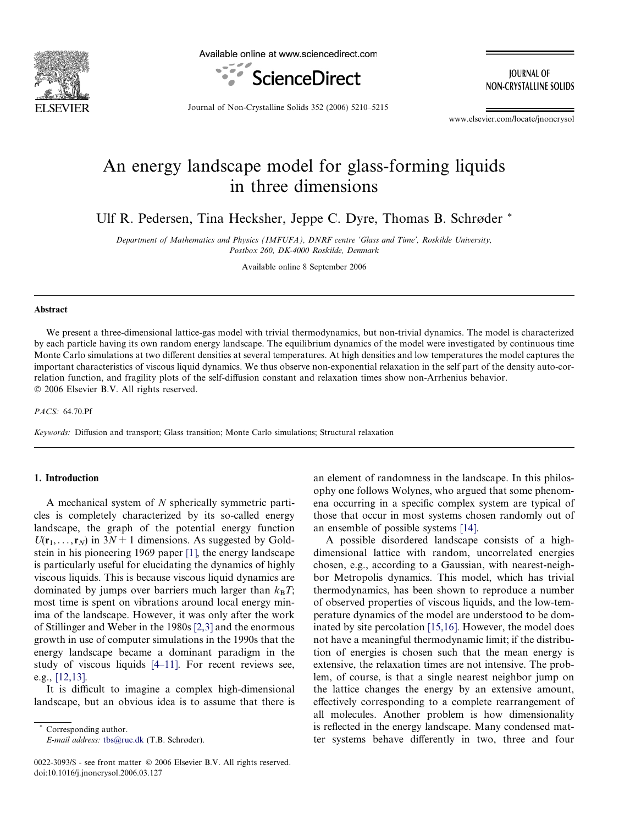

Available online at www.sciencedirect.com



**IOURNAL OF** NON-CRYSTALLINE SOLIDS

Journal of Non-Crystalline Solids 352 (2006) 5210–5215

www.elsevier.com/locate/jnoncrysol

# An energy landscape model for glass-forming liquids in three dimensions

Ulf R. Pedersen, Tina Hecksher, Jeppe C. Dyre, Thomas B. Schrøder \*

Department of Mathematics and Physics (IMFUFA), DNRF centre 'Glass and Time', Roskilde University, Postbox 260, DK-4000 Roskilde, Denmark

Available online 8 September 2006

## Abstract

We present a three-dimensional lattice-gas model with trivial thermodynamics, but non-trivial dynamics. The model is characterized by each particle having its own random energy landscape. The equilibrium dynamics of the model were investigated by continuous time Monte Carlo simulations at two different densities at several temperatures. At high densities and low temperatures the model captures the important characteristics of viscous liquid dynamics. We thus observe non-exponential relaxation in the self part of the density auto-correlation function, and fragility plots of the self-diffusion constant and relaxation times show non-Arrhenius behavior. © 2006 Elsevier B.V. All rights reserved.

PACS: 64.70.Pf

Keywords: Diffusion and transport; Glass transition; Monte Carlo simulations; Structural relaxation

# 1. Introduction

A mechanical system of N spherically symmetric particles is completely characterized by its so-called energy landscape, the graph of the potential energy function  $U(\mathbf{r}_1,\ldots,\mathbf{r}_N)$  in  $3N+1$  dimensions. As suggested by Goldstein in his pioneering 1969 paper [\[1\]](#page-5-0), the energy landscape is particularly useful for elucidating the dynamics of highly viscous liquids. This is because viscous liquid dynamics are dominated by jumps over barriers much larger than  $k_BT$ ; most time is spent on vibrations around local energy minima of the landscape. However, it was only after the work of Stillinger and Weber in the 1980s [\[2,3\]](#page-5-0) and the enormous growth in use of computer simulations in the 1990s that the energy landscape became a dominant paradigm in the study of viscous liquids [\[4–11\]](#page-5-0). For recent reviews see, e.g., [\[12,13\].](#page-5-0)

It is difficult to imagine a complex high-dimensional landscape, but an obvious idea is to assume that there is

Corresponding author. E-mail address: [tbs@ruc.dk](mailto:tbs@ruc.dk) (T.B. Schrøder).

0022-3093/\$ - see front matter © 2006 Elsevier B.V. All rights reserved. doi:10.1016/j.jnoncrysol.2006.03.127

an element of randomness in the landscape. In this philosophy one follows Wolynes, who argued that some phenomena occurring in a specific complex system are typical of those that occur in most systems chosen randomly out of an ensemble of possible systems [\[14\]](#page-5-0).

A possible disordered landscape consists of a highdimensional lattice with random, uncorrelated energies chosen, e.g., according to a Gaussian, with nearest-neighbor Metropolis dynamics. This model, which has trivial thermodynamics, has been shown to reproduce a number of observed properties of viscous liquids, and the low-temperature dynamics of the model are understood to be dominated by site percolation [\[15,16\].](#page-5-0) However, the model does not have a meaningful thermodynamic limit; if the distribution of energies is chosen such that the mean energy is extensive, the relaxation times are not intensive. The problem, of course, is that a single nearest neighbor jump on the lattice changes the energy by an extensive amount, effectively corresponding to a complete rearrangement of all molecules. Another problem is how dimensionality is reflected in the energy landscape. Many condensed matter systems behave differently in two, three and four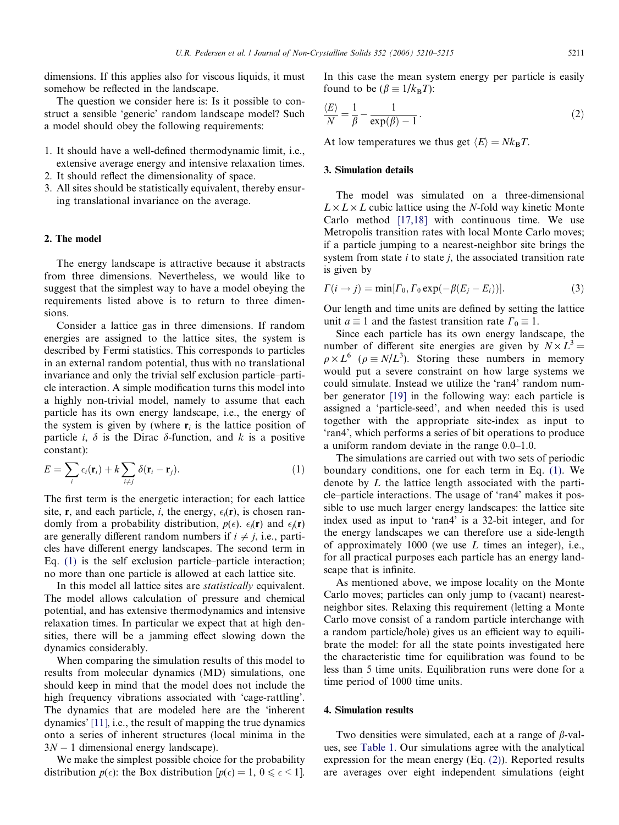dimensions. If this applies also for viscous liquids, it must somehow be reflected in the landscape.

The question we consider here is: Is it possible to construct a sensible 'generic' random landscape model? Such a model should obey the following requirements:

- 1. It should have a well-defined thermodynamic limit, i.e., extensive average energy and intensive relaxation times.
- 2. It should reflect the dimensionality of space.
- 3. All sites should be statistically equivalent, thereby ensuring translational invariance on the average.

# 2. The model

The energy landscape is attractive because it abstracts from three dimensions. Nevertheless, we would like to suggest that the simplest way to have a model obeying the requirements listed above is to return to three dimensions.

Consider a lattice gas in three dimensions. If random energies are assigned to the lattice sites, the system is described by Fermi statistics. This corresponds to particles in an external random potential, thus with no translational invariance and only the trivial self exclusion particle–particle interaction. A simple modification turns this model into a highly non-trivial model, namely to assume that each particle has its own energy landscape, i.e., the energy of the system is given by (where  $r_i$  is the lattice position of particle *i*,  $\delta$  is the Dirac  $\delta$ -function, and *k* is a positive constant):

$$
E = \sum_{i} \epsilon_i(\mathbf{r}_i) + k \sum_{i \neq j} \delta(\mathbf{r}_i - \mathbf{r}_j).
$$
 (1)

The first term is the energetic interaction; for each lattice site, **r**, and each particle, *i*, the energy,  $\epsilon_i(\mathbf{r})$ , is chosen randomly from a probability distribution,  $p(\epsilon)$ .  $\epsilon_i(\mathbf{r})$  and  $\epsilon_j(\mathbf{r})$ are generally different random numbers if  $i \neq j$ , i.e., particles have different energy landscapes. The second term in Eq. (1) is the self exclusion particle–particle interaction; no more than one particle is allowed at each lattice site.

In this model all lattice sites are statistically equivalent. The model allows calculation of pressure and chemical potential, and has extensive thermodynamics and intensive relaxation times. In particular we expect that at high densities, there will be a jamming effect slowing down the dynamics considerably.

When comparing the simulation results of this model to results from molecular dynamics (MD) simulations, one should keep in mind that the model does not include the high frequency vibrations associated with 'cage-rattling'. The dynamics that are modeled here are the 'inherent dynamics' [\[11\]](#page-5-0), i.e., the result of mapping the true dynamics onto a series of inherent structures (local minima in the  $3N - 1$  dimensional energy landscape).

We make the simplest possible choice for the probability distribution  $p(\epsilon)$ : the Box distribution  $[p(\epsilon) = 1, 0 \leq \epsilon < 1]$ .

In this case the mean system energy per particle is easily found to be  $(\beta \equiv 1/k_BT)$ :

$$
\frac{\langle E \rangle}{N} = \frac{1}{\beta} - \frac{1}{\exp(\beta) - 1}.
$$
\n(2)

At low temperatures we thus get  $\langle E \rangle = Nk_BT$ .

## 3. Simulation details

The model was simulated on a three-dimensional  $L \times L \times L$  cubic lattice using the N-fold way kinetic Monte Carlo method [\[17,18\]](#page-5-0) with continuous time. We use Metropolis transition rates with local Monte Carlo moves; if a particle jumping to a nearest-neighbor site brings the system from state  $i$  to state  $j$ , the associated transition rate is given by

$$
\Gamma(i \to j) = \min[\Gamma_0, \Gamma_0 \exp(-\beta(E_j - E_i))]. \tag{3}
$$

Our length and time units are defined by setting the lattice unit  $a \equiv 1$  and the fastest transition rate  $\Gamma_0 \equiv 1$ .

Since each particle has its own energy landscape, the number of different site energies are given by  $N \times L^3 =$  $\rho \times L^6$  ( $\rho \equiv N/L^3$ ). Storing these numbers in memory would put a severe constraint on how large systems we could simulate. Instead we utilize the 'ran4' random number generator [\[19\]](#page-5-0) in the following way: each particle is assigned a 'particle-seed', and when needed this is used together with the appropriate site-index as input to 'ran4', which performs a series of bit operations to produce a uniform random deviate in the range 0.0–1.0.

The simulations are carried out with two sets of periodic boundary conditions, one for each term in Eq. (1). We denote by L the lattice length associated with the particle–particle interactions. The usage of 'ran4' makes it possible to use much larger energy landscapes: the lattice site index used as input to 'ran4' is a 32-bit integer, and for the energy landscapes we can therefore use a side-length of approximately  $1000$  (we use  $L$  times an integer), i.e., for all practical purposes each particle has an energy landscape that is infinite.

As mentioned above, we impose locality on the Monte Carlo moves; particles can only jump to (vacant) nearestneighbor sites. Relaxing this requirement (letting a Monte Carlo move consist of a random particle interchange with a random particle/hole) gives us an efficient way to equilibrate the model: for all the state points investigated here the characteristic time for equilibration was found to be less than 5 time units. Equilibration runs were done for a time period of 1000 time units.

# 4. Simulation results

Two densities were simulated, each at a range of  $\beta$ -values, see [Table 1](#page-2-0). Our simulations agree with the analytical expression for the mean energy (Eq. (2)). Reported results are averages over eight independent simulations (eight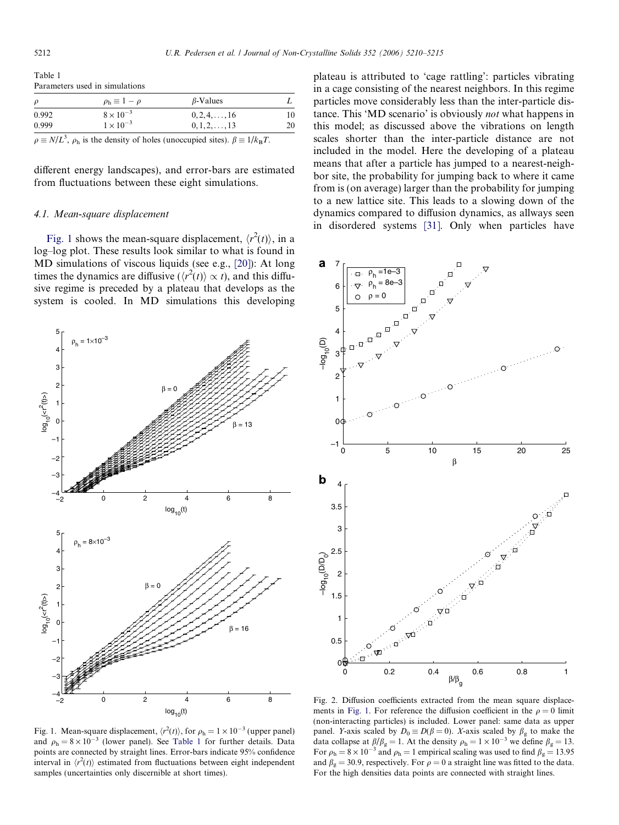<span id="page-2-0"></span>Table 1 Parameters used in simulations

| $\rho$ | $\rho_{\rm h} \equiv 1 - \rho$ | $\beta$ -Values       |    |
|--------|--------------------------------|-----------------------|----|
| 0.992  | $8 \times 10^{-3}$             | $0, 2, 4, \ldots, 16$ | 10 |
| 0.999  | $1 \times 10^{-3}$             | $0, 1, 2, \ldots, 13$ | 20 |
|        |                                |                       |    |

 $\rho \equiv N/L^3$ ,  $\rho_h$  is the density of holes (unoccupied sites).  $\beta \equiv 1/k_B T$ .

different energy landscapes), and error-bars are estimated from fluctuations between these eight simulations.

#### 4.1. Mean-square displacement

Fig. 1 shows the mean-square displacement,  $\langle r^2(t) \rangle$ , in a log–log plot. These results look similar to what is found in MD simulations of viscous liquids (see e.g., [\[20\]](#page-5-0)): At long times the dynamics are diffusive ( $\langle r^2(t) \rangle \propto t$ ), and this diffusive regime is preceded by a plateau that develops as the system is cooled. In MD simulations this developing



plateau is attributed to 'cage rattling': particles vibrating in a cage consisting of the nearest neighbors. In this regime particles move considerably less than the inter-particle distance. This 'MD scenario' is obviously not what happens in this model; as discussed above the vibrations on length scales shorter than the inter-particle distance are not included in the model. Here the developing of a plateau means that after a particle has jumped to a nearest-neighbor site, the probability for jumping back to where it came from is (on average) larger than the probability for jumping to a new lattice site. This leads to a slowing down of the dynamics compared to diffusion dynamics, as allways seen

in disordered systems [\[31\]](#page-5-0). Only when particles have



Fig. 1. Mean-square displacement,  $\langle r^2(t) \rangle$ , for  $\rho_h = 1 \times 10^{-3}$  (upper panel) and  $\rho_h = 8 \times 10^{-3}$  (lower panel). See Table 1 for further details. Data points are connected by straight lines. Error-bars indicate 95% confidence interval in  $\langle r^2(t) \rangle$  estimated from fluctuations between eight independent samples (uncertainties only discernible at short times).

Fig. 2. Diffusion coefficients extracted from the mean square displacements in Fig. 1. For reference the diffusion coefficient in the  $\rho = 0$  limit (non-interacting particles) is included. Lower panel: same data as upper panel. Y-axis scaled by  $D_0 \equiv D(\beta = 0)$ . X-axis scaled by  $\beta_g$  to make the data collapse at  $\beta/\beta_g = 1$ . At the density  $\rho_h = 1 \times 10^{-3}$  we define  $\beta_g = 13$ . For  $\rho_h = 8 \times 10^{-3}$  and  $\rho_h = 1$  empirical scaling was used to find  $\beta_g = 13.95$ and  $\beta_g = 30.9$ , respectively. For  $\rho = 0$  a straight line was fitted to the data. For the high densities data points are connected with straight lines.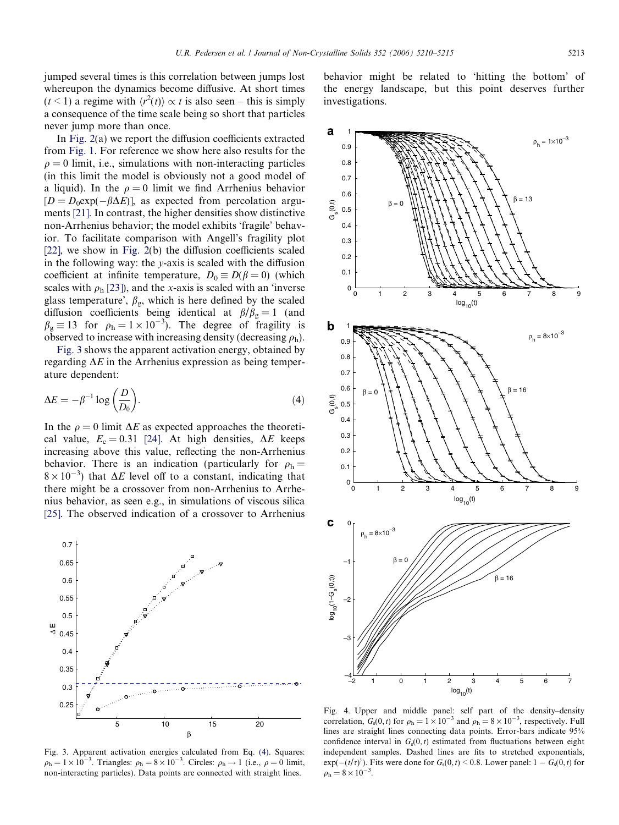<span id="page-3-0"></span>jumped several times is this correlation between jumps lost whereupon the dynamics become diffusive. At short times  $(t<1)$  a regime with  $\langle r^2(t) \rangle \propto t$  is also seen – this is simply a consequence of the time scale being so short that particles never jump more than once.

In [Fig. 2\(](#page-2-0)a) we report the diffusion coefficients extracted from [Fig. 1.](#page-2-0) For reference we show here also results for the  $\rho = 0$  limit, i.e., simulations with non-interacting particles (in this limit the model is obviously not a good model of a liquid). In the  $\rho = 0$  limit we find Arrhenius behavior  $[D = D_0 \exp(-\beta \Delta E)]$ , as expected from percolation arguments [\[21\].](#page-5-0) In contrast, the higher densities show distinctive non-Arrhenius behavior; the model exhibits 'fragile' behavior. To facilitate comparison with Angell's fragility plot [\[22\],](#page-5-0) we show in [Fig. 2\(](#page-2-0)b) the diffusion coefficients scaled in the following way: the  $y$ -axis is scaled with the diffusion coefficient at infinite temperature,  $D_0 \equiv D(\beta = 0)$  (which scales with  $\rho_h$  [\[23\]](#page-5-0)), and the x-axis is scaled with an 'inverse glass temperature',  $\beta_{\rm g}$ , which is here defined by the scaled diffusion coefficients being identical at  $\beta/\beta_g = 1$  (and  $\beta_{\rm g} \equiv 13$  for  $\rho_{\rm h} = 1 \times 10^{-3}$ ). The degree of fragility is observed to increase with increasing density (decreasing  $\rho_h$ ).

Fig. 3 shows the apparent activation energy, obtained by regarding  $\Delta E$  in the Arrhenius expression as being temperature dependent:

$$
\Delta E = -\beta^{-1} \log \left( \frac{D}{D_0} \right). \tag{4}
$$

In the  $\rho = 0$  limit  $\Delta E$  as expected approaches the theoretical value,  $E_c = 0.31$  [\[24\]](#page-5-0). At high densities,  $\Delta E$  keeps increasing above this value, reflecting the non-Arrhenius behavior. There is an indication (particularly for  $\rho_h =$  $8 \times 10^{-3}$ ) that  $\Delta E$  level off to a constant, indicating that there might be a crossover from non-Arrhenius to Arrhenius behavior, as seen e.g., in simulations of viscous silica [\[25\].](#page-5-0) The observed indication of a crossover to Arrhenius



Fig. 3. Apparent activation energies calculated from Eq. (4). Squares:  $\rho_h = 1 \times 10^{-3}$ . Triangles:  $\rho_h = 8 \times 10^{-3}$ . Circles:  $\rho_h \rightarrow 1$  (i.e.,  $\rho = 0$  limit, non-interacting particles). Data points are connected with straight lines.

behavior might be related to 'hitting the bottom' of the energy landscape, but this point deserves further investigations.



Fig. 4. Upper and middle panel: self part of the density–density correlation,  $G_s(0, t)$  for  $\rho_h = 1 \times 10^{-3}$  and  $\rho_h = 8 \times 10^{-3}$ , respectively. Full lines are straight lines connecting data points. Error-bars indicate 95% confidence interval in  $G_s(0, t)$  estimated from fluctuations between eight independent samples. Dashed lines are fits to stretched exponentials,  $exp(-(t/\tau)^{\gamma})$ . Fits were done for  $G_s(0, t) < 0.8$ . Lower panel:  $1 - G_s(0, t)$  for  $\rho_{\rm h} = 8 \times 10^{-3}$ .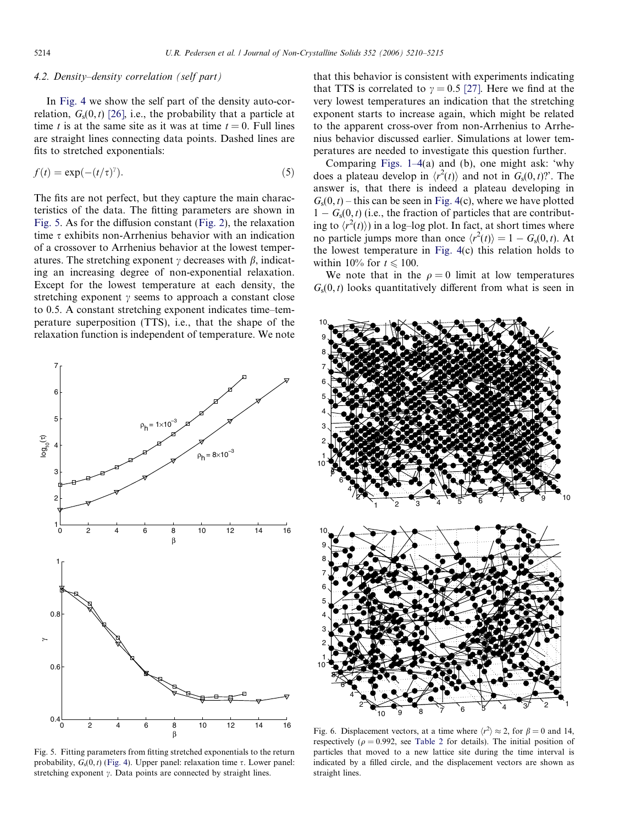## <span id="page-4-0"></span>4.2. Density–density correlation (self part)

In [Fig. 4](#page-3-0) we show the self part of the density auto-correlation,  $G_s(0, t)$  [\[26\]](#page-5-0), i.e., the probability that a particle at time t is at the same site as it was at time  $t = 0$ . Full lines are straight lines connecting data points. Dashed lines are fits to stretched exponentials:

$$
f(t) = \exp(-(t/\tau)^{\gamma}).
$$
\n(5)

The fits are not perfect, but they capture the main characteristics of the data. The fitting parameters are shown in Fig. 5. As for the diffusion constant [\(Fig. 2\)](#page-2-0), the relaxation time  $\tau$  exhibits non-Arrhenius behavior with an indication of a crossover to Arrhenius behavior at the lowest temperatures. The stretching exponent  $\gamma$  decreases with  $\beta$ , indicating an increasing degree of non-exponential relaxation. Except for the lowest temperature at each density, the stretching exponent  $\gamma$  seems to approach a constant close to 0.5. A constant stretching exponent indicates time–temperature superposition (TTS), i.e., that the shape of the relaxation function is independent of temperature. We note

Fig. 5. Fitting parameters from fitting stretched exponentials to the return probability,  $G_s(0, t)$  ([Fig. 4\)](#page-3-0). Upper panel: relaxation time  $\tau$ . Lower panel: stretching exponent  $\gamma$ . Data points are connected by straight lines.

that this behavior is consistent with experiments indicating that TTS is correlated to  $\gamma = 0.5$  [\[27\]](#page-5-0). Here we find at the very lowest temperatures an indication that the stretching exponent starts to increase again, which might be related to the apparent cross-over from non-Arrhenius to Arrhenius behavior discussed earlier. Simulations at lower temperatures are needed to investigate this question further.

Comparing [Figs. 1–4\(](#page-2-0)a) and (b), one might ask: 'why does a plateau develop in  $\langle r^2(t) \rangle$  and not in  $G_s(0,t)$ ?. The answer is, that there is indeed a plateau developing in  $G<sub>s</sub>(0, t)$  – this can be seen in [Fig. 4\(](#page-3-0)c), where we have plotted  $1 - G<sub>s</sub>(0, t)$  (i.e., the fraction of particles that are contributing to  $\langle r^2(t) \rangle$  in a log–log plot. In fact, at short times where no particle jumps more than once  $\langle r^2(t) \rangle = 1 - G_s(0, t)$ . At the lowest temperature in [Fig. 4\(](#page-3-0)c) this relation holds to within 10% for  $t \le 100$ .

We note that in the  $\rho = 0$  limit at low temperatures  $G<sub>s</sub>(0, t)$  looks quantitatively different from what is seen in



Fig. 6. Displacement vectors, at a time where  $\langle r^2 \rangle \approx 2$ , for  $\beta = 0$  and 14, respectively ( $\rho = 0.992$ , see [Table 2](#page-5-0) for details). The initial position of particles that moved to a new lattice site during the time interval is indicated by a filled circle, and the displacement vectors are shown as straight lines.